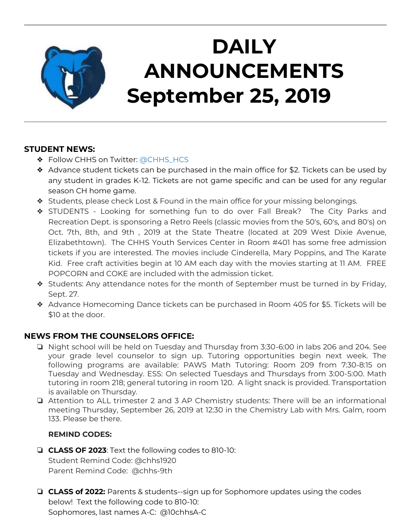

# **DAILY ANNOUNCEMENTS September 25, 2019**

### **STUDENT NEWS:**

- ◆ Follow CHHS on Twitter: [@CHHS\\_HCS](https://twitter.com/CHHS_HCS)
- $\triangleleft$  Advance student tickets can be purchased in the main office for \$2. Tickets can be used by any student in grades K-12. Tickets are not game specific and can be used for any regular season CH home game.
- ❖ Students, please check Lost & Found in the main office for your missing belongings.
- ❖ STUDENTS Looking for something fun to do over Fall Break? The City Parks and Recreation Dept. is sponsoring a Retro Reels (classic movies from the 50's, 60's, and 80's) on Oct. 7th, 8th, and 9th , 2019 at the State Theatre (located at 209 West Dixie Avenue, Elizabethtown). The CHHS Youth Services Center in Room #401 has some free admission tickets if you are interested. The movies include Cinderella, Mary Poppins, and The Karate Kid. Free craft activities begin at 10 AM each day with the movies starting at 11 AM. FREE POPCORN and COKE are included with the admission ticket.
- ❖ Students: Any attendance notes for the month of September must be turned in by Friday, Sept. 27.
- ❖ Advance Homecoming Dance tickets can be purchased in Room 405 for \$5. Tickets will be \$10 at the door.

### **NEWS FROM THE COUNSELORS OFFICE:**

- ❏ Night school will be held on Tuesday and Thursday from 3:30-6:00 in labs 206 and 204. See your grade level counselor to sign up. Tutoring opportunities begin next week. The following programs are available: PAWS Math Tutoring: Room 209 from 7:30-8:15 on Tuesday and Wednesday. ESS: On selected Tuesdays and Thursdays from 3:00-5:00. Math tutoring in room 218; general tutoring in room 120. A light snack is provided. Transportation is available on Thursday.
- ❏ Attention to ALL trimester 2 and 3 AP Chemistry students: There will be an informational meeting Thursday, September 26, 2019 at 12:30 in the Chemistry Lab with Mrs. Galm, room 133. Please be there.

#### **REMIND CODES:**

- ❏ **CLASS OF 2023**: Text the following codes to 810-10: Student Remind Code: @chhs1920 Parent Remind Code: @chhs-9th
- ❏ **CLASS of 2022:** Parents & students--sign up for Sophomore updates using the codes below! Text the following code to 810-10: Sophomores, last names A-C: @10chhsA-C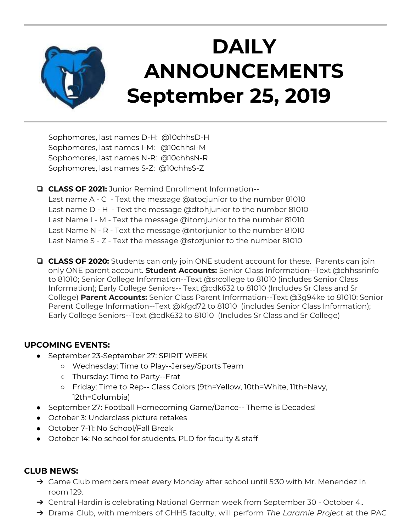

# **DAILY ANNOUNCEMENTS September 25, 2019**

Sophomores, last names D-H: @10chhsD-H Sophomores, last names I-M: @10chhsI-M Sophomores, last names N-R: @10chhsN-R Sophomores, last names S-Z: @10chhsS-Z

❏ **CLASS OF 2021:** Junior Remind Enrollment Information-- Last name A - C - Text the message @atocjunior to the number 81010 Last name D - H - Text the message @dtohjunior to the number 81010 Last Name I - M - Text the message @itomjunior to the number 81010 Last Name N - R - Text the message @ntorjunior to the number 81010 Last Name S - Z - Text the message @stozjunior to the number 81010

❏ **CLASS OF 2020:** Students can only join ONE student account for these. Parents can join only ONE parent account. **Student Accounts:** Senior Class Information--Text @chhssrinfo to 81010; Senior College Information--Text @srcollege to 81010 (includes Senior Class Information); Early College Seniors-- Text @cdk632 to 81010 (Includes Sr Class and Sr College) **Parent Accounts:** Senior Class Parent Information--Text @3g94ke to 81010; Senior Parent College Information--Text @kfgd72 to 81010 (includes Senior Class Information); Early College Seniors--Text @cdk632 to 81010 (Includes Sr Class and Sr College)

#### **UPCOMING EVENTS:**

- September 23-September 27: SPIRIT WEEK
	- Wednesday: Time to Play--Jersey/Sports Team
	- Thursday: Time to Party--Frat
	- Friday: Time to Rep-- Class Colors (9th=Yellow, 10th=White, 11th=Navy, 12th=Columbia)
- September 27: Football Homecoming Game/Dance-- Theme is Decades!
- October 3: Underclass picture retakes
- October 7-11: No School/Fall Break
- October 14: No school for students. PLD for faculty & staff

#### **CLUB NEWS:**

- → Game Club members meet every Monday after school until 5:30 with Mr. Menendez in room 129.
- → Central Hardin is celebrating National German week from September 30 October 4..
- ➔ Drama Club, with members of CHHS faculty, will perform *The Laramie Project* at the PAC